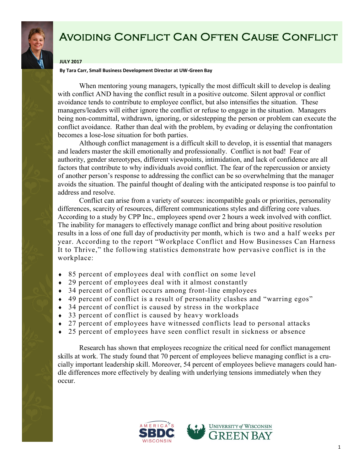

# Avoiding Conflict Can Often Cause Conflict

### **JULY 2017**

#### **By Tara Carr, Small Business Development Director at UW-Green Bay**

When mentoring young managers, typically the most difficult skill to develop is dealing with conflict AND having the conflict result in a positive outcome. Silent approval or conflict avoidance tends to contribute to employee conflict, but also intensifies the situation. These managers/leaders will either ignore the conflict or refuse to engage in the situation. Managers being non-committal, withdrawn, ignoring, or sidestepping the person or problem can execute the conflict avoidance. Rather than deal with the problem, by evading or delaying the confrontation becomes a lose-lose situation for both parties.

Although conflict management is a difficult skill to develop, it is essential that managers and leaders master the skill emotionally and professionally. Conflict is not bad! Fear of authority, gender stereotypes, different viewpoints, intimidation, and lack of confidence are all factors that contribute to why individuals avoid conflict. The fear of the repercussion or anxiety of another person's response to addressing the conflict can be so overwhelming that the manager avoids the situation. The painful thought of dealing with the anticipated response is too painful to address and resolve.

Conflict can arise from a variety of sources: incompatible goals or priorities, personality differences, scarcity of resources, different communications styles and differing core values. According to a study by CPP Inc., employees spend over 2 hours a week involved with conflict. The inability for managers to effectively manage conflict and bring about positive resolution results in a loss of one full day of productivity per month, which is two and a half weeks per year. According to the report "Workplace Conflict and How Businesses Can Harness It to Thrive," the following statistics demonstrate how pervasive conflict is in the workplace:

- 85 percent of employees deal with conflict on some level
- 29 percent of employees deal with it almost constantly
- ◆ 34 percent of conflict occurs among front-line employees
- 49 percent of conflict is a result of personality clashes and "warring egos"
- 34 percent of conflict is caused by stress in the workplace
- 33 percent of conflict is caused by heavy workloads
- 27 percent of employees have witnessed conflicts lead to personal attacks
- 25 percent of employees have seen conflict result in sickness or absence

Research has shown that employees recognize the critical need for conflict management skills at work. The study found that 70 percent of employees believe managing conflict is a crucially important leadership skill. Moreover, 54 percent of employees believe managers could handle differences more effectively by dealing with underlying tensions immediately when they occur.